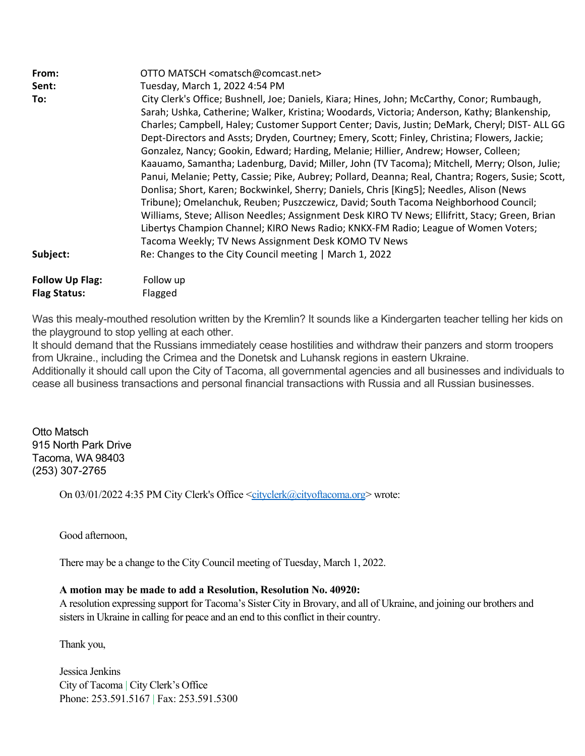| From:                  | OTTO MATSCH <omatsch@comcast.net></omatsch@comcast.net>                                                                                                                                                                                                                                                                                                                                                                                                                                                                                                                                                                                                                                                                                                                                                                                                                                                                                                                                                                                                                                                                         |
|------------------------|---------------------------------------------------------------------------------------------------------------------------------------------------------------------------------------------------------------------------------------------------------------------------------------------------------------------------------------------------------------------------------------------------------------------------------------------------------------------------------------------------------------------------------------------------------------------------------------------------------------------------------------------------------------------------------------------------------------------------------------------------------------------------------------------------------------------------------------------------------------------------------------------------------------------------------------------------------------------------------------------------------------------------------------------------------------------------------------------------------------------------------|
| Sent:                  | Tuesday, March 1, 2022 4:54 PM                                                                                                                                                                                                                                                                                                                                                                                                                                                                                                                                                                                                                                                                                                                                                                                                                                                                                                                                                                                                                                                                                                  |
| To:                    | City Clerk's Office; Bushnell, Joe; Daniels, Kiara; Hines, John; McCarthy, Conor; Rumbaugh,<br>Sarah; Ushka, Catherine; Walker, Kristina; Woodards, Victoria; Anderson, Kathy; Blankenship,<br>Charles; Campbell, Haley; Customer Support Center; Davis, Justin; DeMark, Cheryl; DIST-ALL GG<br>Dept-Directors and Assts; Dryden, Courtney; Emery, Scott; Finley, Christina; Flowers, Jackie;<br>Gonzalez, Nancy; Gookin, Edward; Harding, Melanie; Hillier, Andrew; Howser, Colleen;<br>Kaauamo, Samantha; Ladenburg, David; Miller, John (TV Tacoma); Mitchell, Merry; Olson, Julie;<br>Panui, Melanie; Petty, Cassie; Pike, Aubrey; Pollard, Deanna; Real, Chantra; Rogers, Susie; Scott,<br>Donlisa; Short, Karen; Bockwinkel, Sherry; Daniels, Chris [King5]; Needles, Alison (News<br>Tribune); Omelanchuk, Reuben; Puszczewicz, David; South Tacoma Neighborhood Council;<br>Williams, Steve; Allison Needles; Assignment Desk KIRO TV News; Ellifritt, Stacy; Green, Brian<br>Libertys Champion Channel; KIRO News Radio; KNKX-FM Radio; League of Women Voters;<br>Tacoma Weekly; TV News Assignment Desk KOMO TV News |
| Subject:               | Re: Changes to the City Council meeting   March 1, 2022                                                                                                                                                                                                                                                                                                                                                                                                                                                                                                                                                                                                                                                                                                                                                                                                                                                                                                                                                                                                                                                                         |
|                        |                                                                                                                                                                                                                                                                                                                                                                                                                                                                                                                                                                                                                                                                                                                                                                                                                                                                                                                                                                                                                                                                                                                                 |
| <b>Follow Up Flag:</b> | Follow up                                                                                                                                                                                                                                                                                                                                                                                                                                                                                                                                                                                                                                                                                                                                                                                                                                                                                                                                                                                                                                                                                                                       |
| <b>Flag Status:</b>    | Flagged                                                                                                                                                                                                                                                                                                                                                                                                                                                                                                                                                                                                                                                                                                                                                                                                                                                                                                                                                                                                                                                                                                                         |

Was this mealy-mouthed resolution written by the Kremlin? It sounds like a Kindergarten teacher telling her kids on the playground to stop yelling at each other.

It should demand that the Russians immediately cease hostilities and withdraw their panzers and storm troopers from Ukraine., including the Crimea and the Donetsk and Luhansk regions in eastern Ukraine.

Additionally it should call upon the City of Tacoma, all governmental agencies and all businesses and individuals to cease all business transactions and personal financial transactions with Russia and all Russian businesses.

Otto Matsch 915 North Park Drive Tacoma, WA 98403 (253) 307-2765

On 03/01/2022 4:35 PM City Clerk's Office <[cityclerk@cityoftacoma.org>](mailto:cityclerk@cityoftacoma.org) wrote:

Good afternoon,

There may be a change to the City Council meeting of Tuesday, March 1, 2022.

### **A motion may be made to add a Resolution, Resolution No. 40920:**

A resolution expressing support for Tacoma's Sister City in Brovary, and all of Ukraine, and joining our brothers and sisters in Ukraine in calling for peace and an end to this conflict in their country.

Thank you,

Jessica Jenkins City of Tacoma | City Clerk's Office Phone: 253.591.5167 | Fax: 253.591.5300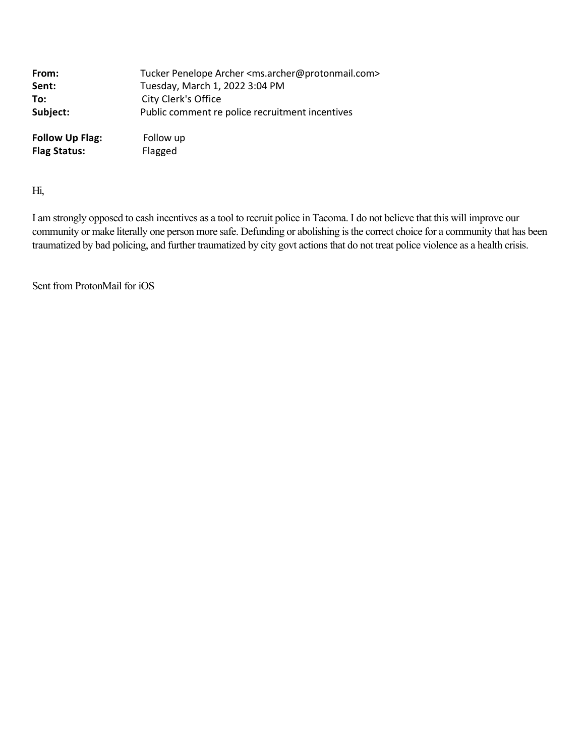| From:                  | Tucker Penelope Archer <ms.archer@protonmail.com></ms.archer@protonmail.com> |
|------------------------|------------------------------------------------------------------------------|
| Sent:                  | Tuesday, March 1, 2022 3:04 PM                                               |
| To:                    | City Clerk's Office                                                          |
| Subject:               | Public comment re police recruitment incentives                              |
| <b>Follow Up Flag:</b> | Follow up                                                                    |
| <b>Flag Status:</b>    | Flagged                                                                      |

Hi,

I am strongly opposed to cash incentives as a tool to recruit police in Tacoma. I do not believe that this will improve our community or make literally one person more safe. Defunding or abolishing is the correct choice for a community that has been traumatized by bad policing, and further traumatized by city govt actions that do not treat police violence as a health crisis.

Sent from ProtonMail for iOS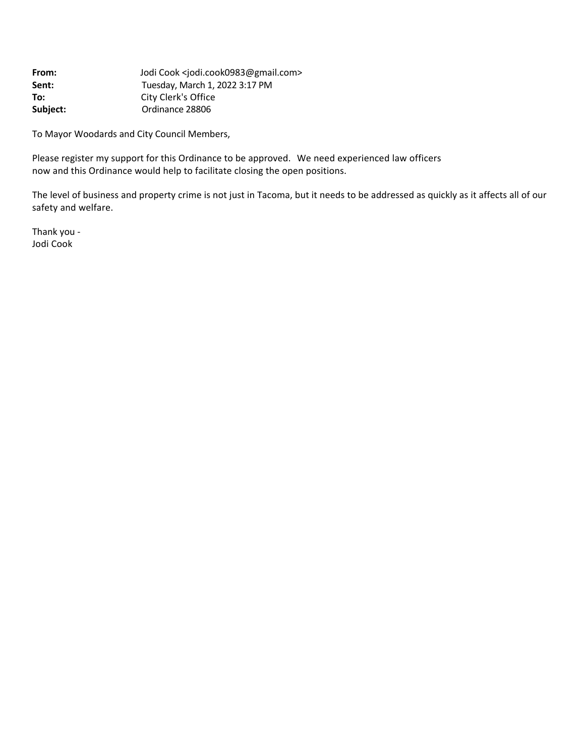| From:    | Jodi Cook <iodi.cook0983@gmail.com></iodi.cook0983@gmail.com> |
|----------|---------------------------------------------------------------|
| Sent:    | Tuesday, March 1, 2022 3:17 PM                                |
| To:      | City Clerk's Office                                           |
| Subject: | Ordinance 28806                                               |

To Mayor Woodards and City Council Members,

Please register my support for this Ordinance to be approved. We need experienced law officers now and this Ordinance would help to facilitate closing the open positions.

The level of business and property crime is not just in Tacoma, but it needs to be addressed as quickly as it affects all of our safety and welfare.

Thank you ‐ Jodi Cook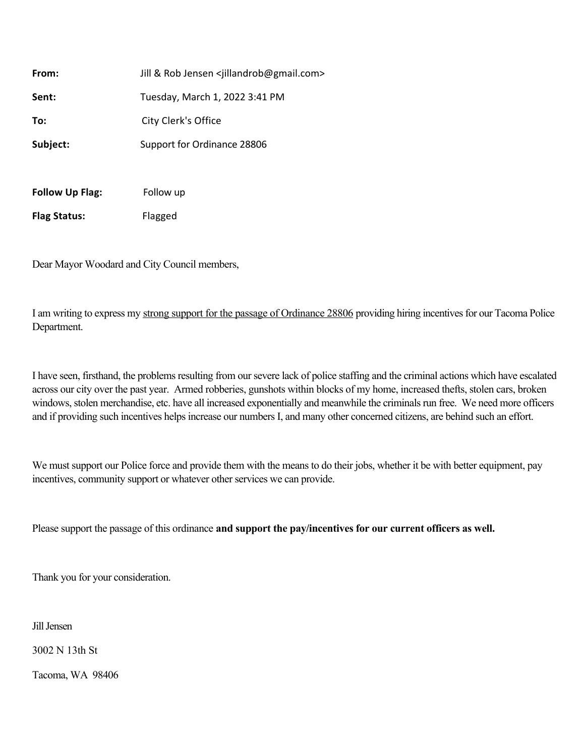| From:                  | Jill & Rob Jensen <iillandrob@gmail.com></iillandrob@gmail.com> |
|------------------------|-----------------------------------------------------------------|
| Sent:                  | Tuesday, March 1, 2022 3:41 PM                                  |
| To:                    | City Clerk's Office                                             |
| Subject:               | Support for Ordinance 28806                                     |
|                        |                                                                 |
| <b>Follow Up Flag:</b> | Follow up                                                       |
| <b>Flag Status:</b>    | Flagged                                                         |

Dear Mayor Woodard and City Council members,

I am writing to express my strong support for the passage of Ordinance 28806 providing hiring incentives for our Tacoma Police Department.

I have seen, firsthand, the problems resulting from our severe lack of police staffing and the criminal actions which have escalated across our city over the past year. Armed robberies, gunshots within blocks of my home, increased thefts, stolen cars, broken windows, stolen merchandise, etc. have all increased exponentially and meanwhile the criminals run free. We need more officers and if providing such incentives helps increase our numbers I, and many other concerned citizens, are behind such an effort.

We must support our Police force and provide them with the means to do their jobs, whether it be with better equipment, pay incentives, community support or whatever other services we can provide.

Please support the passage of this ordinance **and support the pay/incentives for our current officers as well.**

Thank you for your consideration.

Jill Jensen

3002 N 13th St

Tacoma, WA 98406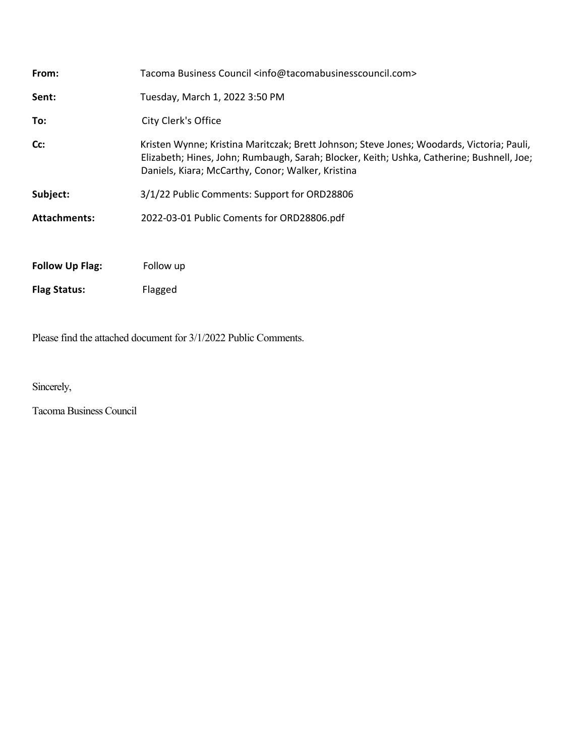| From:                  | Tacoma Business Council <info@tacomabusinesscouncil.com></info@tacomabusinesscouncil.com>                                                                                                                                                   |
|------------------------|---------------------------------------------------------------------------------------------------------------------------------------------------------------------------------------------------------------------------------------------|
| Sent:                  | Tuesday, March 1, 2022 3:50 PM                                                                                                                                                                                                              |
| To:                    | City Clerk's Office                                                                                                                                                                                                                         |
| Cc:                    | Kristen Wynne; Kristina Maritczak; Brett Johnson; Steve Jones; Woodards, Victoria; Pauli,<br>Elizabeth; Hines, John; Rumbaugh, Sarah; Blocker, Keith; Ushka, Catherine; Bushnell, Joe;<br>Daniels, Kiara; McCarthy, Conor; Walker, Kristina |
| Subject:               | 3/1/22 Public Comments: Support for ORD28806                                                                                                                                                                                                |
| <b>Attachments:</b>    | 2022-03-01 Public Coments for ORD28806.pdf                                                                                                                                                                                                  |
|                        |                                                                                                                                                                                                                                             |
| <b>Follow Up Flag:</b> | Follow up                                                                                                                                                                                                                                   |
| <b>Flag Status:</b>    | Flagged                                                                                                                                                                                                                                     |

Please find the attached document for 3/1/2022 Public Comments.

Sincerely,

Tacoma Business Council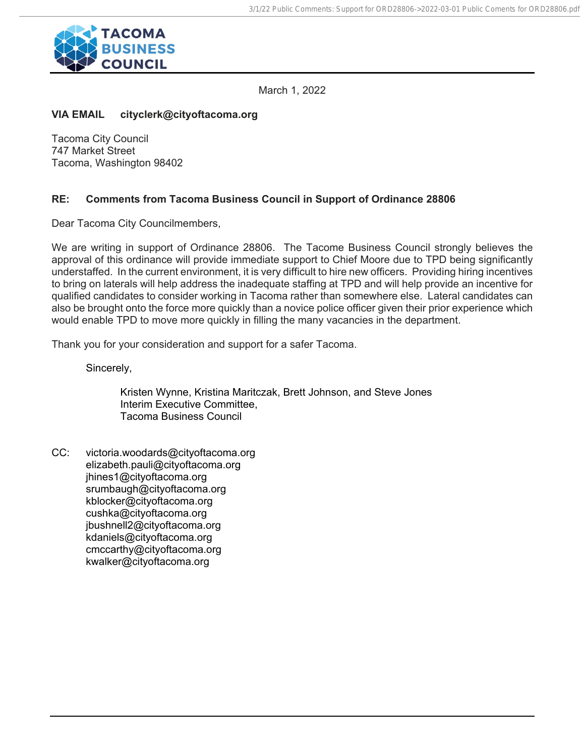

March 1, 2022

# **VIA EMAIL cityclerk@cityoftacoma.org**

Tacoma City Council 747 Market Street Tacoma, Washington 98402

# **RE: Comments from Tacoma Business Council in Support of Ordinance 28806**

Dear Tacoma City Councilmembers,

We are writing in support of Ordinance 28806. The Tacome Business Council strongly believes the approval of this ordinance will provide immediate support to Chief Moore due to TPD being significantly understaffed. In the current environment, it is very difficult to hire new officers. Providing hiring incentives to bring on laterals will help address the inadequate staffing at TPD and will help provide an incentive for qualified candidates to consider working in Tacoma rather than somewhere else. Lateral candidates can also be brought onto the force more quickly than a novice police officer given their prior experience which would enable TPD to move more quickly in filling the many vacancies in the department.

Thank you for your consideration and support for a safer Tacoma.

Sincerely,

Kristen Wynne, Kristina Maritczak, Brett Johnson, and Steve Jones Interim Executive Committee, Tacoma Business Council

CC: victoria.woodards@cityoftacoma.org elizabeth.pauli@cityoftacoma.org jhines1@cityoftacoma.org srumbaugh@cityoftacoma.org kblocker@cityoftacoma.org cushka@cityoftacoma.org jbushnell2@cityoftacoma.org kdaniels@cityoftacoma.org cmccarthy@cityoftacoma.org kwalker@cityoftacoma.org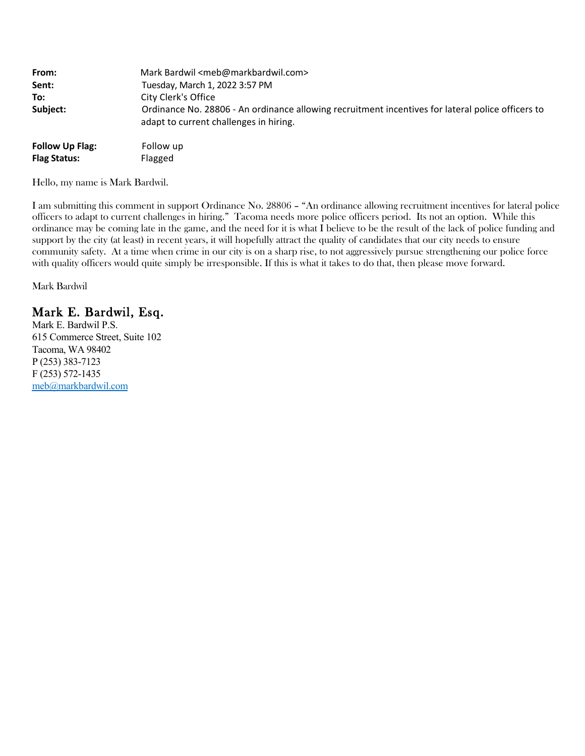| From:                  | Mark Bardwil <meb@markbardwil.com></meb@markbardwil.com>                                                                                    |
|------------------------|---------------------------------------------------------------------------------------------------------------------------------------------|
| Sent:                  | Tuesday, March 1, 2022 3:57 PM                                                                                                              |
| To:                    | City Clerk's Office                                                                                                                         |
| Subject:               | Ordinance No. 28806 - An ordinance allowing recruitment incentives for lateral police officers to<br>adapt to current challenges in hiring. |
| <b>Follow Up Flag:</b> | Follow up                                                                                                                                   |
| <b>Flag Status:</b>    | Flagged                                                                                                                                     |

Hello, my name is Mark Bardwil.

I am submitting this comment in support Ordinance No. 28806 – "An ordinance allowing recruitment incentives for lateral police officers to adapt to current challenges in hiring." Tacoma needs more police officers period. Its not an option. While this ordinance may be coming late in the game, and the need for it is what I believe to be the result of the lack of police funding and support by the city (at least) in recent years, it will hopefully attract the quality of candidates that our city needs to ensure community safety. At a time when crime in our city is on a sharp rise, to not aggressively pursue strengthening our police force with quality officers would quite simply be irresponsible. If this is what it takes to do that, then please move forward.

Mark Bardwil

# Mark E. Bardwil, Esq.

Mark E. Bardwil P.S. 615 Commerce Street, Suite 102 Tacoma, WA 98402 P (253) 383-7123 F (253) 572-1435 [meb@markbardwil.com](mailto:meb@markbardwil.com)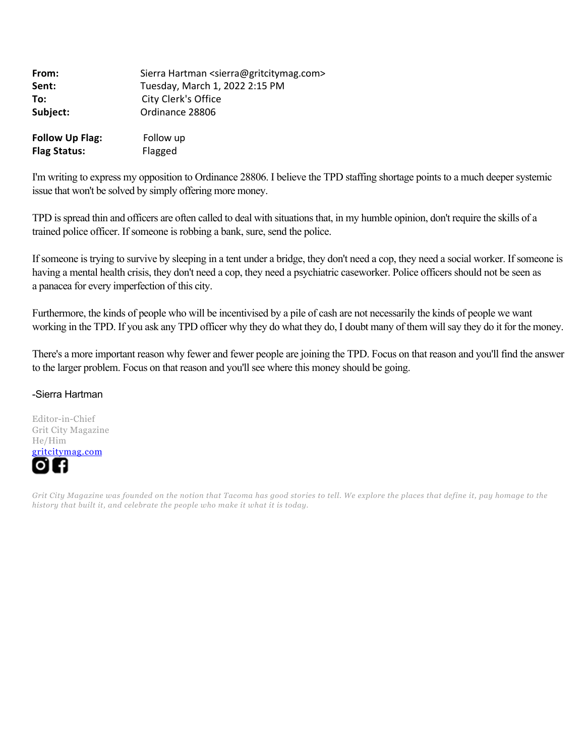| From:                                         | Sierra Hartman <sierra@gritcitymag.com></sierra@gritcitymag.com> |  |
|-----------------------------------------------|------------------------------------------------------------------|--|
| Sent:                                         | Tuesday, March 1, 2022 2:15 PM                                   |  |
| To:                                           | City Clerk's Office                                              |  |
| Subject:                                      | Ordinance 28806                                                  |  |
| <b>Follow Up Flag:</b><br><b>Flag Status:</b> | Follow up<br>Flagged                                             |  |

I'm writing to express my opposition to Ordinance 28806. I believe the TPD staffing shortage points to a much deeper systemic issue that won't be solved by simply offering more money.

TPD is spread thin and officers are often called to deal with situations that, in my humble opinion, don't require the skills of a trained police officer. If someone is robbing a bank, sure, send the police.

If someone is trying to survive by sleeping in a tent under a bridge, they don't need a cop, they need a social worker. If someone is having a mental health crisis, they don't need a cop, they need a psychiatric caseworker. Police officers should not be seen as a panacea for every imperfection of this city.

Furthermore, the kinds of people who will be incentivised by a pile of cash are not necessarily the kinds of people we want working in the TPD. If you ask any TPD officer why they do what they do, I doubt many of them will say they do it for the money.

There's a more important reason why fewer and fewer people are joining the TPD. Focus on that reason and you'll find the answer to the larger problem. Focus on that reason and you'll see where this money should be going.

#### -Sierra Hartman

Editor-in-Chief Grit City Magazine He/Him [gritcitymag.com](https://urldefense.com/v3/__http:/www.gritcitymag.com__;!!CRCbkf1f!Ee6D00uJMO-eyZNCbW2c1rQtoabSOoWVYj1bokW8W8G3-HHHqlg0tAIxqikweyMcvPqtaQ$)

*Grit City Magazine was founded on the notion that Tacoma has good stories to tell. We explore the places that define it, pay homage to the history that built it, and celebrate the people who make it what it is today.*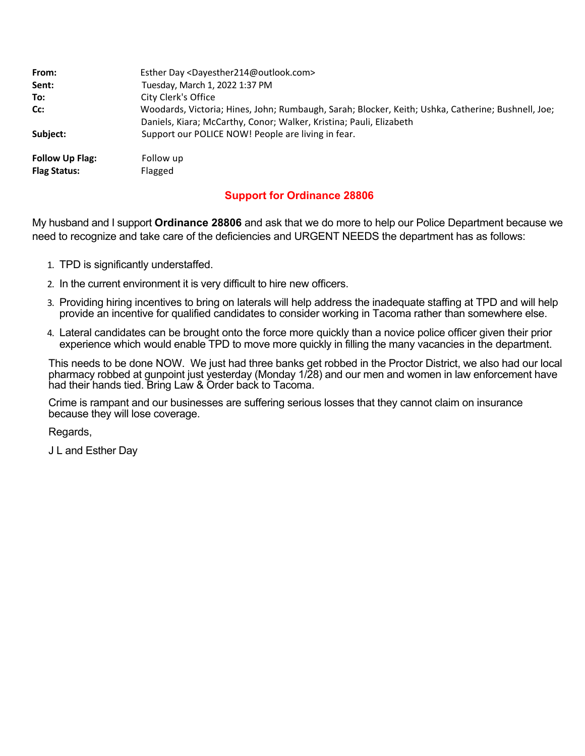| From:                  | Esther Day <dayesther214@outlook.com></dayesther214@outlook.com>                                   |
|------------------------|----------------------------------------------------------------------------------------------------|
| Sent:                  | Tuesday, March 1, 2022 1:37 PM                                                                     |
| To:                    | City Clerk's Office                                                                                |
| Cc:                    | Woodards, Victoria; Hines, John; Rumbaugh, Sarah; Blocker, Keith; Ushka, Catherine; Bushnell, Joe; |
|                        | Daniels, Kiara; McCarthy, Conor; Walker, Kristina; Pauli, Elizabeth                                |
| Subiect:               | Support our POLICE NOW! People are living in fear.                                                 |
| <b>Follow Up Flag:</b> | Follow up                                                                                          |
| <b>Flag Status:</b>    | Flagged                                                                                            |

# **Support for Ordinance 28806**

My husband and I support **Ordinance 28806** and ask that we do more to help our Police Department because we need to recognize and take care of the deficiencies and URGENT NEEDS the department has as follows:

- 1. TPD is significantly understaffed.
- 2. In the current environment it is very difficult to hire new officers.
- 3. Providing hiring incentives to bring on laterals will help address the inadequate staffing at TPD and will help provide an incentive for qualified candidates to consider working in Tacoma rather than somewhere else.
- 4. Lateral candidates can be brought onto the force more quickly than a novice police officer given their prior experience which would enable TPD to move more quickly in filling the many vacancies in the department.

This needs to be done NOW. We just had three banks get robbed in the Proctor District, we also had our local pharmacy robbed at gunpoint just yesterday (Monday 1/28) and our men and women in law enforcement have had their hands tied. Bring Law & Order back to Tacoma.

Crime is rampant and our businesses are suffering serious losses that they cannot claim on insurance because they will lose coverage.

Regards,

J L and Esther Day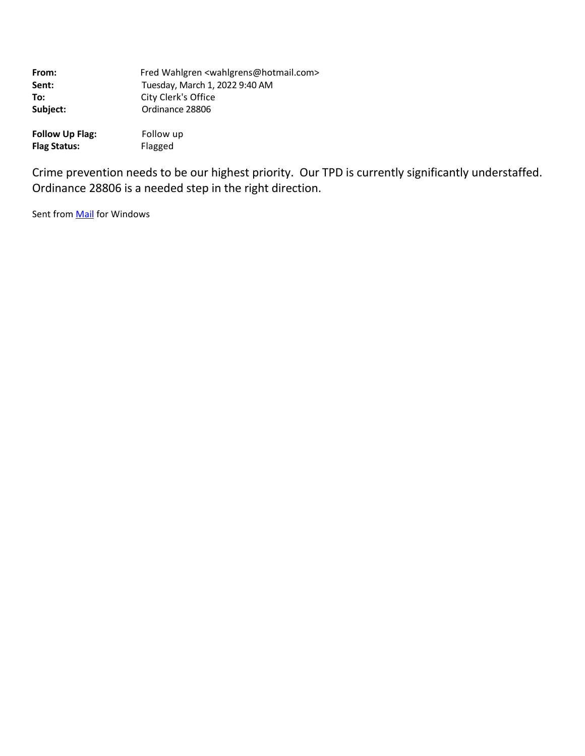| From:                  | Fred Wahlgren <wahlgrens@hotmail.com></wahlgrens@hotmail.com> |
|------------------------|---------------------------------------------------------------|
| Sent:                  | Tuesday, March 1, 2022 9:40 AM                                |
| To:                    | City Clerk's Office                                           |
| Subject:               | Ordinance 28806                                               |
| <b>Follow Up Flag:</b> | Follow up                                                     |

Crime prevention needs to be our highest priority. Our TPD is currently significantly understaffed. Ordinance 28806 is a needed step in the right direction.

Sent from **Mail** for Windows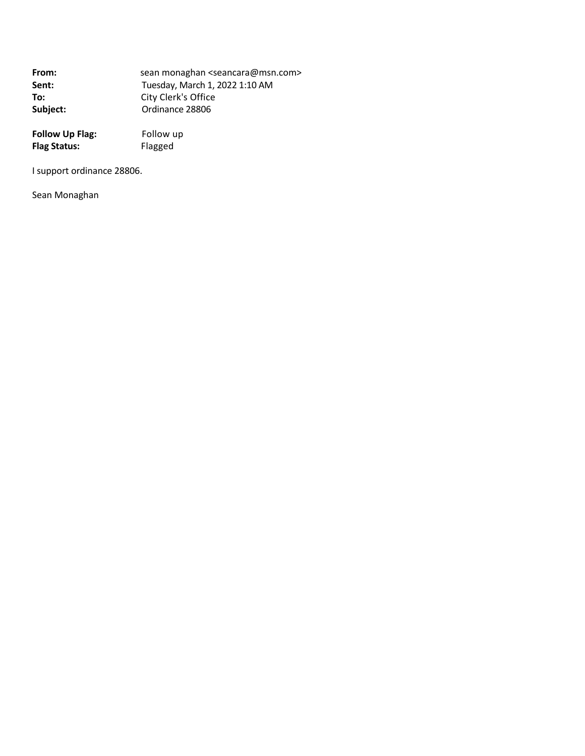| From:    | sean monaghan <seancara@msn.com></seancara@msn.com> |
|----------|-----------------------------------------------------|
| Sent:    | Tuesday, March 1, 2022 1:10 AM                      |
| To:      | City Clerk's Office                                 |
| Subject: | Ordinance 28806                                     |

| <b>Follow Up Flag:</b> | Follow up |
|------------------------|-----------|
| <b>Flag Status:</b>    | Flagged   |

I support ordinance 28806.

Sean Monaghan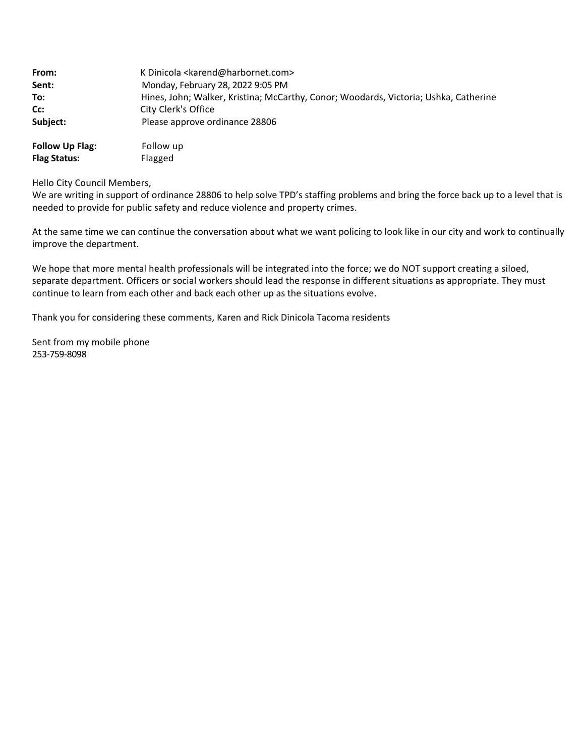| From:                  | K Dinicola <karend@harbornet.com></karend@harbornet.com>                             |
|------------------------|--------------------------------------------------------------------------------------|
| Sent:                  | Monday, February 28, 2022 9:05 PM                                                    |
| To:                    | Hines, John; Walker, Kristina; McCarthy, Conor; Woodards, Victoria; Ushka, Catherine |
| Cc:                    | City Clerk's Office                                                                  |
| Subject:               | Please approve ordinance 28806                                                       |
| <b>Follow Up Flag:</b> | Follow up                                                                            |

#### Hello City Council Members,

**Flag Status:** Flagged

We are writing in support of ordinance 28806 to help solve TPD's staffing problems and bring the force back up to a level that is needed to provide for public safety and reduce violence and property crimes.

At the same time we can continue the conversation about what we want policing to look like in our city and work to continually improve the department.

We hope that more mental health professionals will be integrated into the force; we do NOT support creating a siloed, separate department. Officers or social workers should lead the response in different situations as appropriate. They must continue to learn from each other and back each other up as the situations evolve.

Thank you for considering these comments, Karen and Rick Dinicola Tacoma residents

Sent from my mobile phone 253‐759‐8098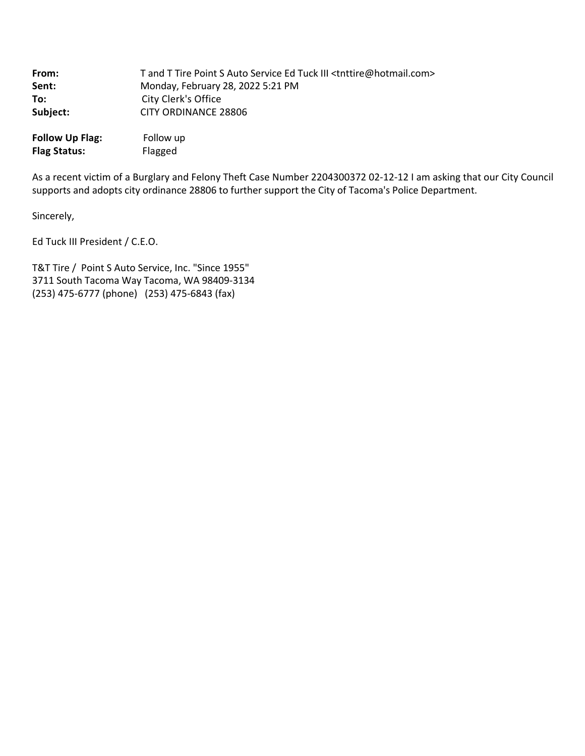| From:    | T and T Tire Point S Auto Service Ed Tuck III <tnttire@hotmail.com></tnttire@hotmail.com> |
|----------|-------------------------------------------------------------------------------------------|
| Sent:    | Monday, February 28, 2022 5:21 PM                                                         |
| To:      | City Clerk's Office                                                                       |
| Subject: | CITY ORDINANCE 28806                                                                      |
|          |                                                                                           |

**Follow Up Flag:** Follow up **Flag Status:** Flagged

As a recent victim of a Burglary and Felony Theft Case Number 2204300372 02‐12‐12 I am asking that our City Council supports and adopts city ordinance 28806 to further support the City of Tacoma's Police Department.

Sincerely,

Ed Tuck III President / C.E.O.

T&T Tire / Point S Auto Service, Inc. "Since 1955" 3711 South Tacoma Way Tacoma, WA 98409‐3134 (253) 475‐6777 (phone) (253) 475‐6843 (fax)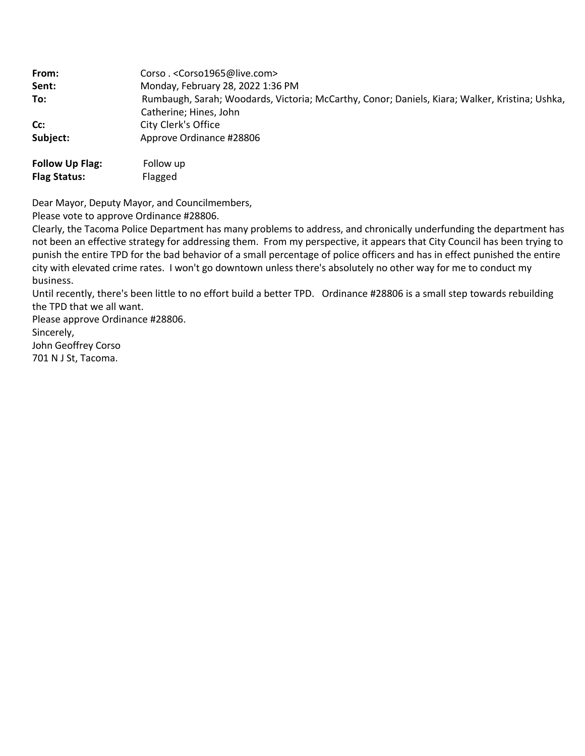| From:                  | Corso .< Corso1965@live.com>                                                                   |
|------------------------|------------------------------------------------------------------------------------------------|
| Sent:                  | Monday, February 28, 2022 1:36 PM                                                              |
| To:                    | Rumbaugh, Sarah; Woodards, Victoria; McCarthy, Conor; Daniels, Kiara; Walker, Kristina; Ushka, |
|                        | Catherine; Hines, John                                                                         |
| Cc:                    | City Clerk's Office                                                                            |
| Subject:               | Approve Ordinance #28806                                                                       |
| <b>Follow Up Flag:</b> | Follow up                                                                                      |

Dear Mayor, Deputy Mayor, and Councilmembers,

Please vote to approve Ordinance #28806.

Clearly, the Tacoma Police Department has many problems to address, and chronically underfunding the department has not been an effective strategy for addressing them. From my perspective, it appears that City Council has been trying to punish the entire TPD for the bad behavior of a small percentage of police officers and has in effect punished the entire city with elevated crime rates. I won't go downtown unless there's absolutely no other way for me to conduct my business.

Until recently, there's been little to no effort build a better TPD. Ordinance #28806 is a small step towards rebuilding the TPD that we all want.

Please approve Ordinance #28806.

Sincerely,

John Geoffrey Corso 701 N J St, Tacoma.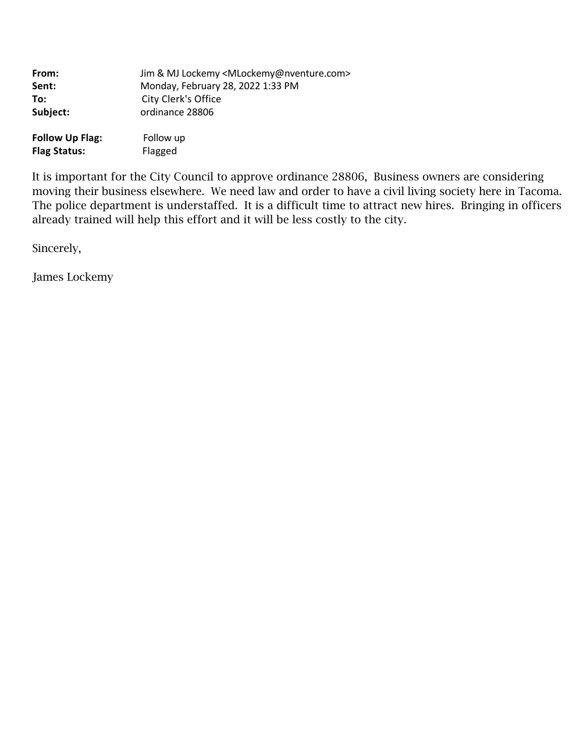| From:                  | Jim & MJ Lockemy <mlockemy@nventure.com></mlockemy@nventure.com> |
|------------------------|------------------------------------------------------------------|
| Sent:                  | Monday, February 28, 2022 1:33 PM                                |
| To:                    | City Clerk's Office                                              |
| Subject:               | ordinance 28806                                                  |
| <b>Follow Up Flag:</b> | Follow up                                                        |
| <b>Flag Status:</b>    | Flagged                                                          |

It is important for the City Council to approve ordinance 28806, Business owners are considering moving their business elsewhere. We need law and order to have a civil living society here in Tacoma. The police department is understaffed. It is a difficult time to attract new hires. Bringing in officers already trained will help this effort and it will be less costly to the city.

Sincerely,

James Lockemy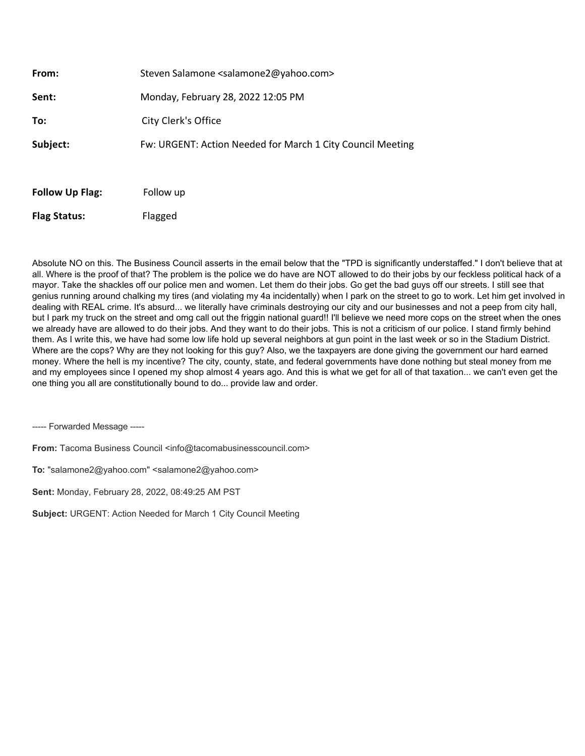| <b>Follow Up Flag:</b> | Follow up                                                   |
|------------------------|-------------------------------------------------------------|
| Subject:               | Fw: URGENT: Action Needed for March 1 City Council Meeting  |
| To:                    | City Clerk's Office                                         |
| Sent:                  | Monday, February 28, 2022 12:05 PM                          |
| From:                  | Steven Salamone <salamone2@yahoo.com></salamone2@yahoo.com> |

Absolute NO on this. The Business Council asserts in the email below that the "TPD is significantly understaffed." I don't believe that at all. Where is the proof of that? The problem is the police we do have are NOT allowed to do their jobs by our feckless political hack of a mayor. Take the shackles off our police men and women. Let them do their jobs. Go get the bad guys off our streets. I still see that genius running around chalking my tires (and violating my 4a incidentally) when I park on the street to go to work. Let him get involved in dealing with REAL crime. It's absurd... we literally have criminals destroying our city and our businesses and not a peep from city hall, but I park my truck on the street and omg call out the friggin national guard!! I'll believe we need more cops on the street when the ones we already have are allowed to do their jobs. And they want to do their jobs. This is not a criticism of our police. I stand firmly behind them. As I write this, we have had some low life hold up several neighbors at gun point in the last week or so in the Stadium District. Where are the cops? Why are they not looking for this guy? Also, we the taxpayers are done giving the government our hard earned money. Where the hell is my incentive? The city, county, state, and federal governments have done nothing but steal money from me and my employees since I opened my shop almost 4 years ago. And this is what we get for all of that taxation... we can't even get the one thing you all are constitutionally bound to do... provide law and order.

----- Forwarded Message -----

**From:** Tacoma Business Council <info@tacomabusinesscouncil.com>

**To:** "salamone2@yahoo.com" <salamone2@yahoo.com>

**Sent:** Monday, February 28, 2022, 08:49:25 AM PST

**Subject:** URGENT: Action Needed for March 1 City Council Meeting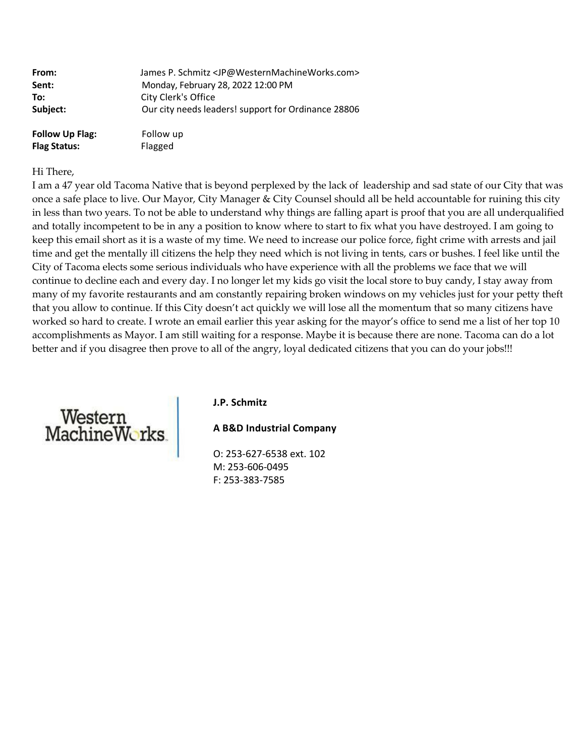| From:                  | James P. Schmitz <jp@westernmachineworks.com></jp@westernmachineworks.com> |
|------------------------|----------------------------------------------------------------------------|
| Sent:                  | Monday, February 28, 2022 12:00 PM                                         |
| To:                    | City Clerk's Office                                                        |
| Subject:               | Our city needs leaders! support for Ordinance 28806                        |
| <b>Follow Up Flag:</b> | Follow up                                                                  |

#### Hi There,

I am a 47 year old Tacoma Native that is beyond perplexed by the lack of leadership and sad state of our City that was once a safe place to live. Our Mayor, City Manager & City Counsel should all be held accountable for ruining this city in less than two years. To not be able to understand why things are falling apart is proof that you are all underqualified and totally incompetent to be in any a position to know where to start to fix what you have destroyed. I am going to keep this email short as it is a waste of my time. We need to increase our police force, fight crime with arrests and jail time and get the mentally ill citizens the help they need which is not living in tents, cars or bushes. I feel like until the City of Tacoma elects some serious individuals who have experience with all the problems we face that we will continue to decline each and every day. I no longer let my kids go visit the local store to buy candy, I stay away from many of my favorite restaurants and am constantly repairing broken windows on my vehicles just for your petty theft that you allow to continue. If this City doesn't act quickly we will lose all the momentum that so many citizens have worked so hard to create. I wrote an email earlier this year asking for the mayor's office to send me a list of her top 10 accomplishments as Mayor. I am still waiting for a response. Maybe it is because there are none. Tacoma can do a lot better and if you disagree then prove to all of the angry, loyal dedicated citizens that you can do your jobs!!!



#### **J.P. Schmitz**

**A B&D Industrial Company**

O: 253‐627‐6538 ext. 102 M: 253‐606‐0495 F: 253‐383‐7585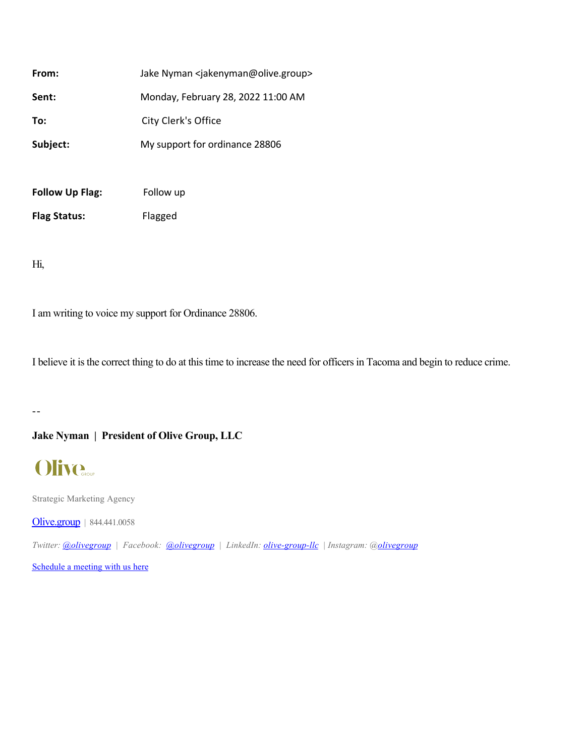| From:                  | Jake Nyman <jakenyman@olive.group></jakenyman@olive.group> |
|------------------------|------------------------------------------------------------|
| Sent:                  | Monday, February 28, 2022 11:00 AM                         |
| To:                    | City Clerk's Office                                        |
| Subject:               | My support for ordinance 28806                             |
|                        |                                                            |
| <b>Follow Up Flag:</b> | Follow up                                                  |

Hi,

I am writing to voice my support for Ordinance 28806.

I believe it is the correct thing to do at this time to increase the need for officers in Tacoma and begin to reduce crime.

--

# **Jake Nyman | President of Olive Group, LLC**

# **Olive.**

Strategic Marketing Agency

[Olive.group](https://urldefense.com/v3/__http:/Olive.group__;!!CRCbkf1f!G4PGkrLeczVoYk9q9cIYFWCTeEDg5nXwrlBHjfDzCgtiJNdiWGEXg4L23B7MAygvfOM0Yg$) | 844.441.0058

*Twitter: [@olivegroup](https://urldefense.com/v3/__https:/twitter.com/olivegroup__;!!CRCbkf1f!G4PGkrLeczVoYk9q9cIYFWCTeEDg5nXwrlBHjfDzCgtiJNdiWGEXg4L23B7MAyiYzX8FIg$) | Facebook: [@olivegroup](https://urldefense.com/v3/__https:/www.facebook.com/olivegroup/__;!!CRCbkf1f!G4PGkrLeczVoYk9q9cIYFWCTeEDg5nXwrlBHjfDzCgtiJNdiWGEXg4L23B7MAyijQya_CA$) | LinkedIn: [olive-group-llc](https://urldefense.com/v3/__https:/www.linkedin.com/company/olive-group-llc__;!!CRCbkf1f!G4PGkrLeczVoYk9q9cIYFWCTeEDg5nXwrlBHjfDzCgtiJNdiWGEXg4L23B7MAyjwCqTZIg$) | Instagram: @[olivegroup](https://urldefense.com/v3/__https:/www.instagram.com/olivegroup/__;!!CRCbkf1f!G4PGkrLeczVoYk9q9cIYFWCTeEDg5nXwrlBHjfDzCgtiJNdiWGEXg4L23B7MAygcl0iO3w$)*

[Schedule a meeting with us here](https://urldefense.com/v3/__https:/calendly.com/olivegroup__;!!CRCbkf1f!G4PGkrLeczVoYk9q9cIYFWCTeEDg5nXwrlBHjfDzCgtiJNdiWGEXg4L23B7MAyg9Cvl9Gg$)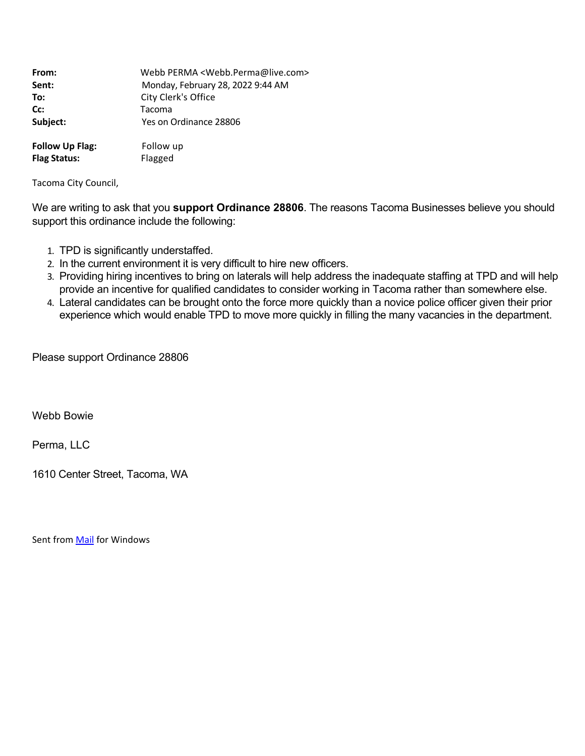| From:                  | Webb PERMA <webb.perma@live.com></webb.perma@live.com> |
|------------------------|--------------------------------------------------------|
| Sent:                  | Monday, February 28, 2022 9:44 AM                      |
| To:                    | City Clerk's Office                                    |
| Cc:                    | Tacoma                                                 |
| Subject:               | Yes on Ordinance 28806                                 |
|                        |                                                        |
| <b>Follow Up Flag:</b> | Follow up                                              |
| <b>Flag Status:</b>    | Flagged                                                |

Tacoma City Council,

We are writing to ask that you **support Ordinance 28806**. The reasons Tacoma Businesses believe you should support this ordinance include the following:

- 1. TPD is significantly understaffed.
- 2. In the current environment it is very difficult to hire new officers.
- 3. Providing hiring incentives to bring on laterals will help address the inadequate staffing at TPD and will help provide an incentive for qualified candidates to consider working in Tacoma rather than somewhere else.
- 4. Lateral candidates can be brought onto the force more quickly than a novice police officer given their prior experience which would enable TPD to move more quickly in filling the many vacancies in the department.

Please support Ordinance 28806

Webb Bowie

Perma, LLC

1610 Center Street, Tacoma, WA

Sent from [Mail](https://urldefense.com/v3/__https:/go.microsoft.com/fwlink/?LinkId=550986__;!!CRCbkf1f!EyVYi-Z1-k5uHu3GvBhI7iDJJw0z0GVfyLpM2l_YQkVw1r5hkqJvKRdqkLNYjRmMDjpuNw$) for Windows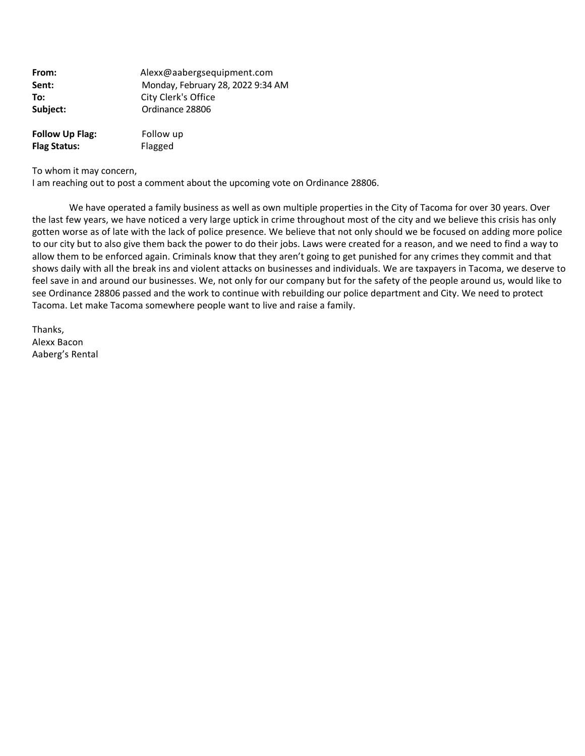| From:                  | Alexx@aabergsequipment.com        |
|------------------------|-----------------------------------|
| Sent:                  | Monday, February 28, 2022 9:34 AM |
| To:                    | City Clerk's Office               |
| Subject:               | Ordinance 28806                   |
| <b>Follow Up Flag:</b> | Follow up                         |
| <b>Flag Status:</b>    | Flagged                           |

To whom it may concern,

I am reaching out to post a comment about the upcoming vote on Ordinance 28806.

 We have operated a family business as well as own multiple properties in the City of Tacoma for over 30 years. Over the last few years, we have noticed a very large uptick in crime throughout most of the city and we believe this crisis has only gotten worse as of late with the lack of police presence. We believe that not only should we be focused on adding more police to our city but to also give them back the power to do their jobs. Laws were created for a reason, and we need to find a way to allow them to be enforced again. Criminals know that they aren't going to get punished for any crimes they commit and that shows daily with all the break ins and violent attacks on businesses and individuals. We are taxpayers in Tacoma, we deserve to feel save in and around our businesses. We, not only for our company but for the safety of the people around us, would like to see Ordinance 28806 passed and the work to continue with rebuilding our police department and City. We need to protect Tacoma. Let make Tacoma somewhere people want to live and raise a family.

Thanks, Alexx Bacon Aaberg's Rental